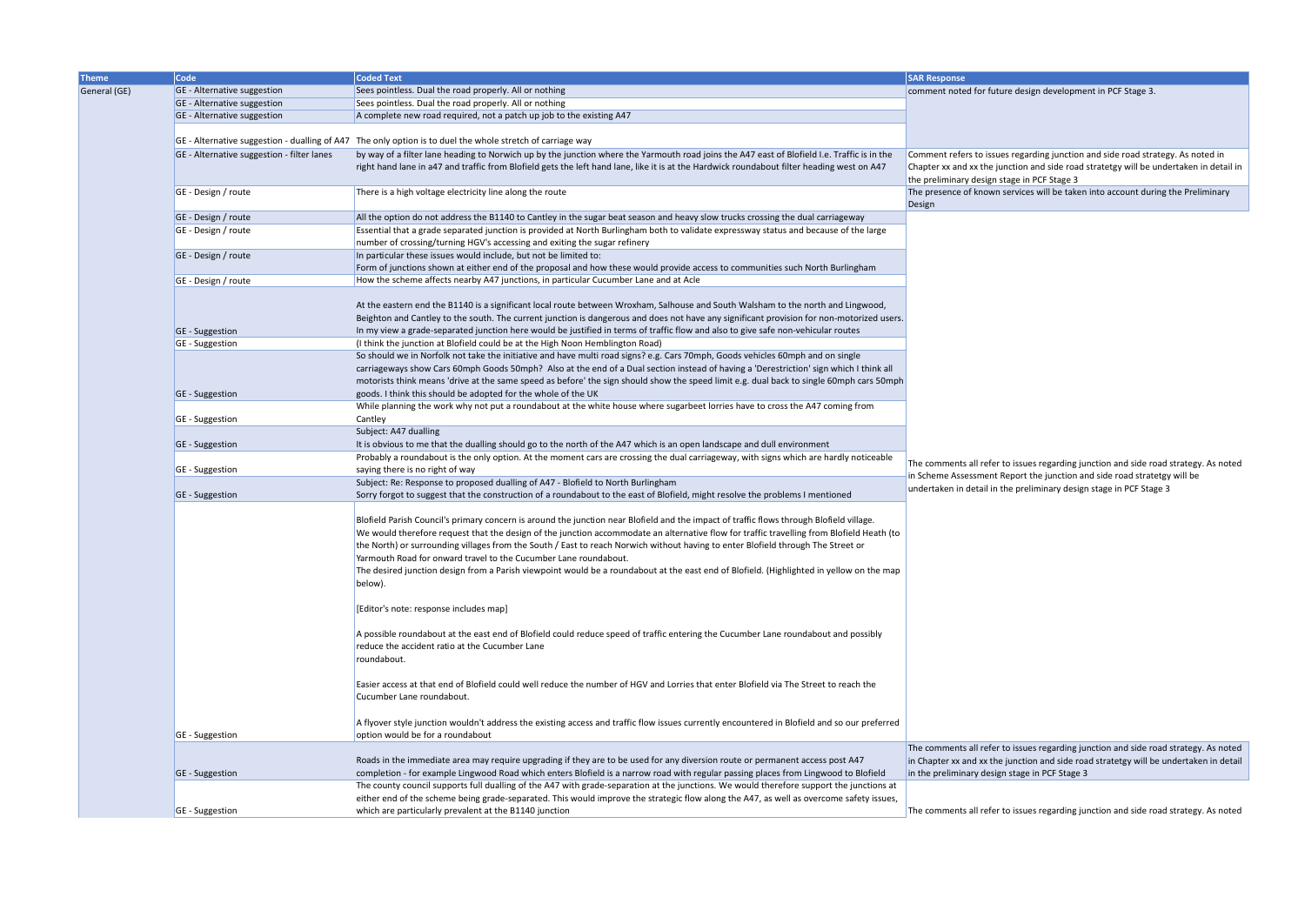| <b>Theme</b> | <b>Code</b>                                | <b>Coded Text</b>                                                                                                                            | <b>SAR Response</b>                                                                    |
|--------------|--------------------------------------------|----------------------------------------------------------------------------------------------------------------------------------------------|----------------------------------------------------------------------------------------|
| General (GE) | GE - Alternative suggestion                | Sees pointless. Dual the road properly. All or nothing                                                                                       | comment noted for future design development in PCF Stage 3.                            |
|              | GE - Alternative suggestion                | Sees pointless. Dual the road properly. All or nothing                                                                                       |                                                                                        |
|              | GE - Alternative suggestion                | A complete new road required, not a patch up job to the existing A47                                                                         |                                                                                        |
|              |                                            |                                                                                                                                              |                                                                                        |
|              |                                            | GE - Alternative suggestion - dualling of A47 The only option is to duel the whole stretch of carriage way                                   |                                                                                        |
|              | GE - Alternative suggestion - filter lanes | by way of a filter lane heading to Norwich up by the junction where the Yarmouth road joins the A47 east of Blofield I.e. Traffic is in the  | Comment refers to issues regarding junction and side road strategy. As noted in        |
|              |                                            | right hand lane in a47 and traffic from Blofield gets the left hand lane, like it is at the Hardwick roundabout filter heading west on A47   | Chapter xx and xx the junction and side road stratetgy will be undertaken in detail in |
|              |                                            |                                                                                                                                              | the preliminary design stage in PCF Stage 3                                            |
|              | GE - Design / route                        | There is a high voltage electricity line along the route                                                                                     | The presence of known services will be taken into account during the Preliminary       |
|              |                                            |                                                                                                                                              | Design                                                                                 |
|              | GE - Design / route                        | All the option do not address the B1140 to Cantley in the sugar beat season and heavy slow trucks crossing the dual carriageway              |                                                                                        |
|              | GE - Design / route                        | Essential that a grade separated junction is provided at North Burlingham both to validate expressway status and because of the large        |                                                                                        |
|              |                                            | number of crossing/turning HGV's accessing and exiting the sugar refinery                                                                    |                                                                                        |
|              | GE - Design / route                        | In particular these issues would include, but not be limited to:                                                                             |                                                                                        |
|              |                                            | Form of junctions shown at either end of the proposal and how these would provide access to communities such North Burlingham                |                                                                                        |
|              | GE - Design / route                        | How the scheme affects nearby A47 junctions, in particular Cucumber Lane and at Acle                                                         |                                                                                        |
|              |                                            |                                                                                                                                              |                                                                                        |
|              |                                            | At the eastern end the B1140 is a significant local route between Wroxham, Salhouse and South Walsham to the north and Lingwood,             |                                                                                        |
|              |                                            | Beighton and Cantley to the south. The current junction is dangerous and does not have any significant provision for non-motorized users.    |                                                                                        |
|              | GE - Suggestion                            | In my view a grade-separated junction here would be justified in terms of traffic flow and also to give safe non-vehicular routes            |                                                                                        |
|              | GE - Suggestion                            | (I think the junction at Blofield could be at the High Noon Hemblington Road)                                                                |                                                                                        |
|              |                                            | So should we in Norfolk not take the initiative and have multi road signs? e.g. Cars 70mph, Goods vehicles 60mph and on single               |                                                                                        |
|              |                                            | carriageways show Cars 60mph Goods 50mph? Also at the end of a Dual section instead of having a 'Derestriction' sign which I think all       |                                                                                        |
|              |                                            | motorists think means 'drive at the same speed as before' the sign should show the speed limit e.g. dual back to single 60mph cars 50mph     |                                                                                        |
|              | GE - Suggestion                            | goods. I think this should be adopted for the whole of the UK                                                                                |                                                                                        |
|              |                                            | While planning the work why not put a roundabout at the white house where sugarbeet lorries have to cross the A47 coming from                |                                                                                        |
|              | <b>GE</b> - Suggestion                     | Cantley                                                                                                                                      |                                                                                        |
|              |                                            | Subject: A47 dualling                                                                                                                        |                                                                                        |
|              | GE - Suggestion                            | It is obvious to me that the dualling should go to the north of the A47 which is an open landscape and dull environment                      |                                                                                        |
|              |                                            | Probably a roundabout is the only option. At the moment cars are crossing the dual carriageway, with signs which are hardly noticeable       |                                                                                        |
|              | GE - Suggestion                            | saying there is no right of way                                                                                                              | The comments all refer to issues regarding junction and side road strategy. As noted   |
|              |                                            | Subject: Re: Response to proposed dualling of A47 - Blofield to North Burlingham                                                             | in Scheme Assessment Report the junction and side road stratetgy will be               |
|              | GE - Suggestion                            | Sorry forgot to suggest that the construction of a roundabout to the east of Blofield, might resolve the problems I mentioned                | undertaken in detail in the preliminary design stage in PCF Stage 3                    |
|              |                                            |                                                                                                                                              |                                                                                        |
|              |                                            | Blofield Parish Council's primary concern is around the junction near Blofield and the impact of traffic flows through Blofield village.     |                                                                                        |
|              |                                            | We would therefore request that the design of the junction accommodate an alternative flow for traffic travelling from Blofield Heath (to    |                                                                                        |
|              |                                            | the North) or surrounding villages from the South / East to reach Norwich without having to enter Blofield through The Street or             |                                                                                        |
|              |                                            | Yarmouth Road for onward travel to the Cucumber Lane roundabout.                                                                             |                                                                                        |
|              |                                            | The desired junction design from a Parish viewpoint would be a roundabout at the east end of Blofield. (Highlighted in yellow on the map     |                                                                                        |
|              |                                            | below).                                                                                                                                      |                                                                                        |
|              |                                            |                                                                                                                                              |                                                                                        |
|              |                                            | [Editor's note: response includes map]                                                                                                       |                                                                                        |
|              |                                            |                                                                                                                                              |                                                                                        |
|              |                                            | A possible roundabout at the east end of Blofield could reduce speed of traffic entering the Cucumber Lane roundabout and possibly           |                                                                                        |
|              |                                            | reduce the accident ratio at the Cucumber Lane                                                                                               |                                                                                        |
|              |                                            | roundabout.                                                                                                                                  |                                                                                        |
|              |                                            |                                                                                                                                              |                                                                                        |
|              |                                            | Easier access at that end of Blofield could well reduce the number of HGV and Lorries that enter Blofield via The Street to reach the        |                                                                                        |
|              |                                            | Cucumber Lane roundabout.                                                                                                                    |                                                                                        |
|              |                                            |                                                                                                                                              |                                                                                        |
|              |                                            | A flyover style junction wouldn't address the existing access and traffic flow issues currently encountered in Blofield and so our preferred |                                                                                        |
|              | GE - Suggestion                            | option would be for a roundabout                                                                                                             |                                                                                        |
|              |                                            |                                                                                                                                              | The comments all refer to issues regarding junction and side road strategy. As noted   |
|              |                                            | Roads in the immediate area may require upgrading if they are to be used for any diversion route or permanent access post A47                | in Chapter xx and xx the junction and side road stratetgy will be undertaken in detail |
|              | GE - Suggestion                            | completion - for example Lingwood Road which enters Blofield is a narrow road with regular passing places from Lingwood to Blofield          | in the preliminary design stage in PCF Stage 3                                         |
|              |                                            | The county council supports full dualling of the A47 with grade-separation at the junctions. We would therefore support the junctions at     |                                                                                        |
|              |                                            | either end of the scheme being grade-separated. This would improve the strategic flow along the A47, as well as overcome safety issues,      |                                                                                        |
|              | <b>GE</b> - Suggestion                     | which are particularly prevalent at the B1140 junction                                                                                       | The comments all refer to issues regarding junction and side road strategy. As noted   |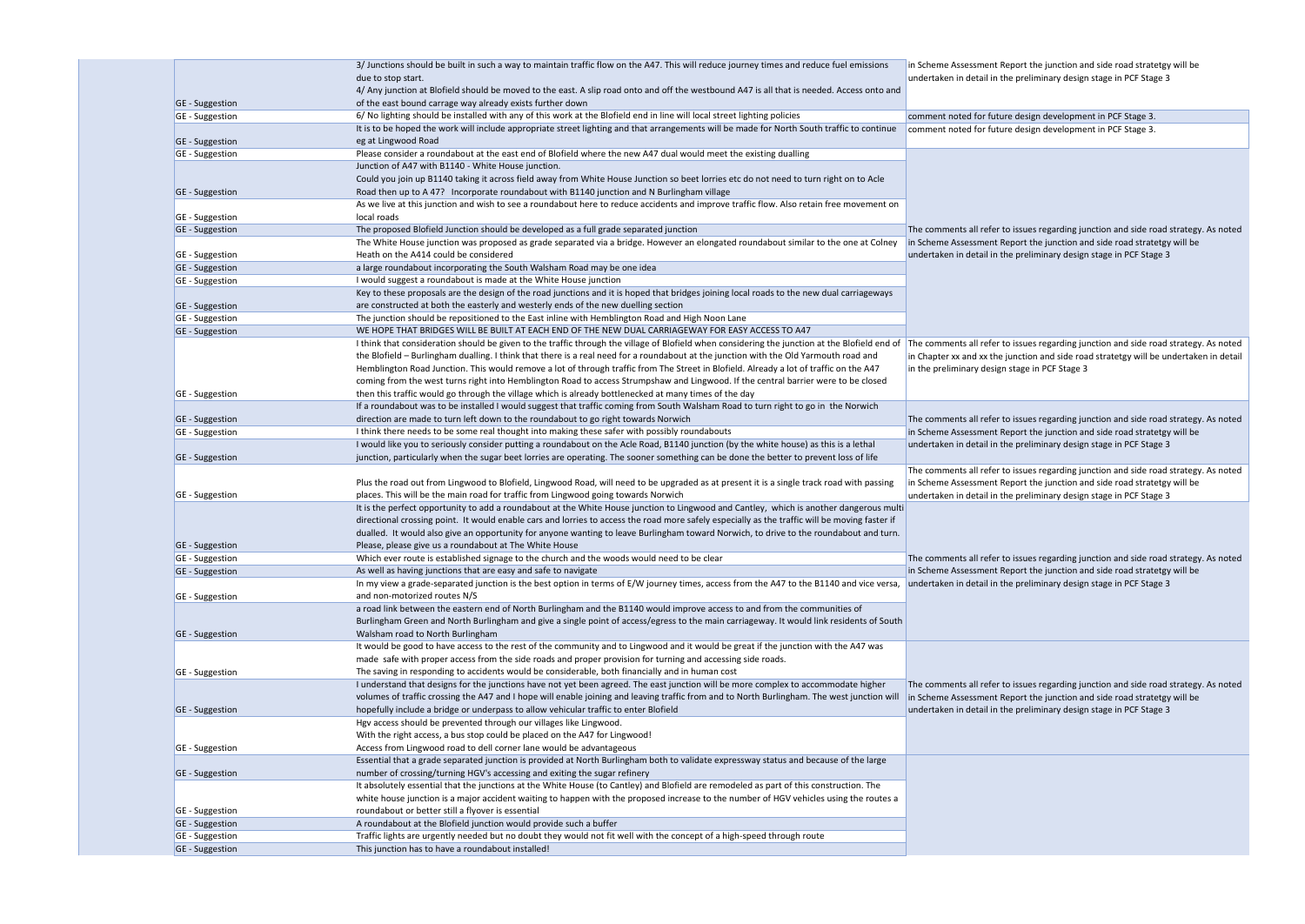|                        | 3/ Junctions should be built in such a way to maintain traffic flow on the A47. This will reduce journey times and reduce fuel emissions                                                                                                                                                  | in Scheme Assessment Report the junction and side road strat                                                                    |
|------------------------|-------------------------------------------------------------------------------------------------------------------------------------------------------------------------------------------------------------------------------------------------------------------------------------------|---------------------------------------------------------------------------------------------------------------------------------|
|                        | due to stop start.                                                                                                                                                                                                                                                                        | undertaken in detail in the preliminary design stage in PCF Sta                                                                 |
|                        | 4/ Any junction at Blofield should be moved to the east. A slip road onto and off the westbound A47 is all that is needed. Access onto and                                                                                                                                                |                                                                                                                                 |
| <b>GE</b> - Suggestion | of the east bound carrage way already exists further down                                                                                                                                                                                                                                 |                                                                                                                                 |
| GE - Suggestion        | 6/ No lighting should be installed with any of this work at the Blofield end in line will local street lighting policies                                                                                                                                                                  | comment noted for future design development in PCF Stage 3                                                                      |
|                        | It is to be hoped the work will include appropriate street lighting and that arrangements will be made for North South traffic to continue                                                                                                                                                | comment noted for future design development in PCF Stage 3                                                                      |
| <b>GE</b> - Suggestion | eg at Lingwood Road                                                                                                                                                                                                                                                                       |                                                                                                                                 |
| GE - Suggestion        | Please consider a roundabout at the east end of Blofield where the new A47 dual would meet the existing dualling                                                                                                                                                                          |                                                                                                                                 |
|                        | Junction of A47 with B1140 - White House junction.                                                                                                                                                                                                                                        |                                                                                                                                 |
|                        | Could you join up B1140 taking it across field away from White House Junction so beet lorries etc do not need to turn right on to Acle                                                                                                                                                    |                                                                                                                                 |
| <b>GE</b> - Suggestion | Road then up to A 47? Incorporate roundabout with B1140 junction and N Burlingham village                                                                                                                                                                                                 |                                                                                                                                 |
|                        | As we live at this junction and wish to see a roundabout here to reduce accidents and improve traffic flow. Also retain free movement on                                                                                                                                                  |                                                                                                                                 |
| GE - Suggestion        | local roads                                                                                                                                                                                                                                                                               |                                                                                                                                 |
| <b>GE</b> - Suggestion | The proposed Blofield Junction should be developed as a full grade separated junction                                                                                                                                                                                                     | The comments all refer to issues regarding junction and side ro                                                                 |
|                        | The White House junction was proposed as grade separated via a bridge. However an elongated roundabout similar to the one at Colney                                                                                                                                                       | in Scheme Assessment Report the junction and side road strat                                                                    |
| GE - Suggestion        | Heath on the A414 could be considered                                                                                                                                                                                                                                                     | undertaken in detail in the preliminary design stage in PCF Sta                                                                 |
| GE - Suggestion        | a large roundabout incorporating the South Walsham Road may be one idea                                                                                                                                                                                                                   |                                                                                                                                 |
| GE - Suggestion        | I would suggest a roundabout is made at the White House junction                                                                                                                                                                                                                          |                                                                                                                                 |
|                        | Key to these proposals are the design of the road junctions and it is hoped that bridges joining local roads to the new dual carriageways                                                                                                                                                 |                                                                                                                                 |
| <b>GE</b> - Suggestion | are constructed at both the easterly and westerly ends of the new duelling section                                                                                                                                                                                                        |                                                                                                                                 |
| GE - Suggestion        | The junction should be repositioned to the East inline with Hemblington Road and High Noon Lane                                                                                                                                                                                           |                                                                                                                                 |
| <b>GE</b> - Suggestion | WE HOPE THAT BRIDGES WILL BE BUILT AT EACH END OF THE NEW DUAL CARRIAGEWAY FOR EASY ACCESS TO A47                                                                                                                                                                                         |                                                                                                                                 |
|                        | I think that consideration should be given to the traffic through the village of Blofield when considering the junction at the Blofield end of                                                                                                                                            | The comments all refer to issues regarding junction and side re                                                                 |
|                        | the Blofield - Burlingham dualling. I think that there is a real need for a roundabout at the junction with the Old Yarmouth road and                                                                                                                                                     | in Chapter xx and xx the junction and side road stratetgy will b                                                                |
|                        | Hemblington Road Junction. This would remove a lot of through traffic from The Street in Blofield. Already a lot of traffic on the A47                                                                                                                                                    | in the preliminary design stage in PCF Stage 3                                                                                  |
|                        | coming from the west turns right into Hemblington Road to access Strumpshaw and Lingwood. If the central barrier were to be closed                                                                                                                                                        |                                                                                                                                 |
|                        | then this traffic would go through the village which is already bottlenecked at many times of the day                                                                                                                                                                                     |                                                                                                                                 |
| <b>GE</b> - Suggestion | If a roundabout was to be installed I would suggest that traffic coming from South Walsham Road to turn right to go in the Norwich                                                                                                                                                        |                                                                                                                                 |
|                        | direction are made to turn left down to the roundabout to go right towards Norwich                                                                                                                                                                                                        |                                                                                                                                 |
| <b>GE</b> - Suggestion | I think there needs to be some real thought into making these safer with possibly roundabouts                                                                                                                                                                                             | The comments all refer to issues regarding junction and side ro                                                                 |
| GE - Suggestion        | I would like you to seriously consider putting a roundabout on the Acle Road, B1140 junction (by the white house) as this is a lethal                                                                                                                                                     | in Scheme Assessment Report the junction and side road strat                                                                    |
| <b>GE</b> - Suggestion | junction, particularly when the sugar beet lorries are operating. The sooner something can be done the better to prevent loss of life                                                                                                                                                     | undertaken in detail in the preliminary design stage in PCF Sta                                                                 |
|                        |                                                                                                                                                                                                                                                                                           |                                                                                                                                 |
|                        | Plus the road out from Lingwood to Blofield, Lingwood Road, will need to be upgraded as at present it is a single track road with passing                                                                                                                                                 | The comments all refer to issues regarding junction and side ro<br>in Scheme Assessment Report the junction and side road strat |
|                        | places. This will be the main road for traffic from Lingwood going towards Norwich                                                                                                                                                                                                        |                                                                                                                                 |
| GE - Suggestion        |                                                                                                                                                                                                                                                                                           | undertaken in detail in the preliminary design stage in PCF Sta                                                                 |
|                        | It is the perfect opportunity to add a roundabout at the White House junction to Lingwood and Cantley, which is another dangerous multi<br>directional crossing point. It would enable cars and lorries to access the road more safely especially as the traffic will be moving faster if |                                                                                                                                 |
|                        | dualled. It would also give an opportunity for anyone wanting to leave Burlingham toward Norwich, to drive to the roundabout and turn.                                                                                                                                                    |                                                                                                                                 |
|                        |                                                                                                                                                                                                                                                                                           |                                                                                                                                 |
| <b>GE</b> - Suggestion | Please, please give us a roundabout at The White House                                                                                                                                                                                                                                    |                                                                                                                                 |
| GE - Suggestion        | Which ever route is established signage to the church and the woods would need to be clear                                                                                                                                                                                                | The comments all refer to issues regarding junction and side re                                                                 |
| <b>GE</b> - Suggestion | As well as having junctions that are easy and safe to navigate                                                                                                                                                                                                                            | in Scheme Assessment Report the junction and side road strat                                                                    |
|                        | In my view a grade-separated junction is the best option in terms of E/W journey times, access from the A47 to the B1140 and vice versa,                                                                                                                                                  | undertaken in detail in the preliminary design stage in PCF Sta                                                                 |
| GE - Suggestion        | and non-motorized routes N/S                                                                                                                                                                                                                                                              |                                                                                                                                 |
|                        | a road link between the eastern end of North Burlingham and the B1140 would improve access to and from the communities of                                                                                                                                                                 |                                                                                                                                 |
|                        | Burlingham Green and North Burlingham and give a single point of access/egress to the main carriageway. It would link residents of South                                                                                                                                                  |                                                                                                                                 |
| <b>GE</b> - Suggestion | Walsham road to North Burlingham                                                                                                                                                                                                                                                          |                                                                                                                                 |
|                        | It would be good to have access to the rest of the community and to Lingwood and it would be great if the junction with the A47 was                                                                                                                                                       |                                                                                                                                 |
|                        | made safe with proper access from the side roads and proper provision for turning and accessing side roads.                                                                                                                                                                               |                                                                                                                                 |
| GE - Suggestion        | The saving in responding to accidents would be considerable, both financially and in human cost                                                                                                                                                                                           |                                                                                                                                 |
|                        | I understand that designs for the junctions have not yet been agreed. The east junction will be more complex to accommodate higher                                                                                                                                                        | The comments all refer to issues regarding junction and side re                                                                 |
|                        | volumes of traffic crossing the A47 and I hope will enable joining and leaving traffic from and to North Burlingham. The west junction will                                                                                                                                               | in Scheme Assessment Report the junction and side road strat                                                                    |
| <b>GE</b> - Suggestion | hopefully include a bridge or underpass to allow vehicular traffic to enter Blofield                                                                                                                                                                                                      | undertaken in detail in the preliminary design stage in PCF Sta                                                                 |
|                        | Hgv access should be prevented through our villages like Lingwood.                                                                                                                                                                                                                        |                                                                                                                                 |
|                        | With the right access, a bus stop could be placed on the A47 for Lingwood!                                                                                                                                                                                                                |                                                                                                                                 |
| GE - Suggestion        | Access from Lingwood road to dell corner lane would be advantageous                                                                                                                                                                                                                       |                                                                                                                                 |
|                        | Essential that a grade separated junction is provided at North Burlingham both to validate expressway status and because of the large                                                                                                                                                     |                                                                                                                                 |
| <b>GE</b> - Suggestion | number of crossing/turning HGV's accessing and exiting the sugar refinery                                                                                                                                                                                                                 |                                                                                                                                 |
|                        | It absolutely essential that the junctions at the White House (to Cantley) and Blofield are remodeled as part of this construction. The                                                                                                                                                   |                                                                                                                                 |
|                        | white house junction is a major accident waiting to happen with the proposed increase to the number of HGV vehicles using the routes a                                                                                                                                                    |                                                                                                                                 |
| GE - Suggestion        | roundabout or better still a flyover is essential                                                                                                                                                                                                                                         |                                                                                                                                 |
| GE - Suggestion        | A roundabout at the Blofield junction would provide such a buffer                                                                                                                                                                                                                         |                                                                                                                                 |
| GE - Suggestion        | Traffic lights are urgently needed but no doubt they would not fit well with the concept of a high-speed through route                                                                                                                                                                    |                                                                                                                                 |
| GE - Suggestion        | This junction has to have a roundabout installed!                                                                                                                                                                                                                                         |                                                                                                                                 |

| reduce fuel emissions<br>needed. Access onto and                                                    | in Scheme Assessment Report the junction and side road stratetgy will be<br>undertaken in detail in the preliminary design stage in PCF Stage 3                                                                                         |  |
|-----------------------------------------------------------------------------------------------------|-----------------------------------------------------------------------------------------------------------------------------------------------------------------------------------------------------------------------------------------|--|
|                                                                                                     |                                                                                                                                                                                                                                         |  |
| South traffic to continue                                                                           | comment noted for future design development in PCF Stage 3.<br>comment noted for future design development in PCF Stage 3.                                                                                                              |  |
| ng                                                                                                  |                                                                                                                                                                                                                                         |  |
| turn right on to Acle                                                                               |                                                                                                                                                                                                                                         |  |
| retain free movement on                                                                             |                                                                                                                                                                                                                                         |  |
| illar to the one at Colney                                                                          | The comments all refer to issues regarding junction and side road strategy. As noted<br>in Scheme Assessment Report the junction and side road stratetgy will be<br>undertaken in detail in the preliminary design stage in PCF Stage 3 |  |
| new dual carriageways                                                                               |                                                                                                                                                                                                                                         |  |
| 47                                                                                                  |                                                                                                                                                                                                                                         |  |
| tion at the Blofield end of<br>Yarmouth road and<br>of traffic on the A47<br>rier were to be closed | The comments all refer to issues regarding junction and side road strategy. As noted<br>in Chapter xx and xx the junction and side road stratetgy will be undertaken in detail<br>in the preliminary design stage in PCF Stage 3        |  |
| o go in the Norwich                                                                                 |                                                                                                                                                                                                                                         |  |
|                                                                                                     | The comments all refer to issues regarding junction and side road strategy. As noted                                                                                                                                                    |  |
| e) as this is a lethal<br>p prevent loss of life                                                    | in Scheme Assessment Report the junction and side road stratetgy will be<br>undertaken in detail in the preliminary design stage in PCF Stage 3                                                                                         |  |
| track road with passing                                                                             | The comments all refer to issues regarding junction and side road strategy. As noted<br>in Scheme Assessment Report the junction and side road stratetgy will be<br>undertaken in detail in the preliminary design stage in PCF Stage 3 |  |
| s another dangerous multi<br>c will be moving faster if<br>the roundabout and turn.                 |                                                                                                                                                                                                                                         |  |
|                                                                                                     | The comments all refer to issues regarding junction and side road strategy. As noted                                                                                                                                                    |  |
| the B1140 and vice versa,                                                                           | in Scheme Assessment Report the junction and side road stratetgy will be<br>undertaken in detail in the preliminary design stage in PCF Stage 3                                                                                         |  |
| communities of<br>uld link residents of South                                                       |                                                                                                                                                                                                                                         |  |
| ion with the A47 was                                                                                |                                                                                                                                                                                                                                         |  |
| accommodate higher<br>m. The west junction will                                                     | The comments all refer to issues regarding junction and side road strategy. As noted<br>in Scheme Assessment Report the junction and side road stratetgy will be<br>undertaken in detail in the preliminary design stage in PCF Stage 3 |  |
|                                                                                                     |                                                                                                                                                                                                                                         |  |
| d because of the large                                                                              |                                                                                                                                                                                                                                         |  |
| nis construction. The<br>chicles using the routes a                                                 |                                                                                                                                                                                                                                         |  |
| route                                                                                               |                                                                                                                                                                                                                                         |  |
|                                                                                                     |                                                                                                                                                                                                                                         |  |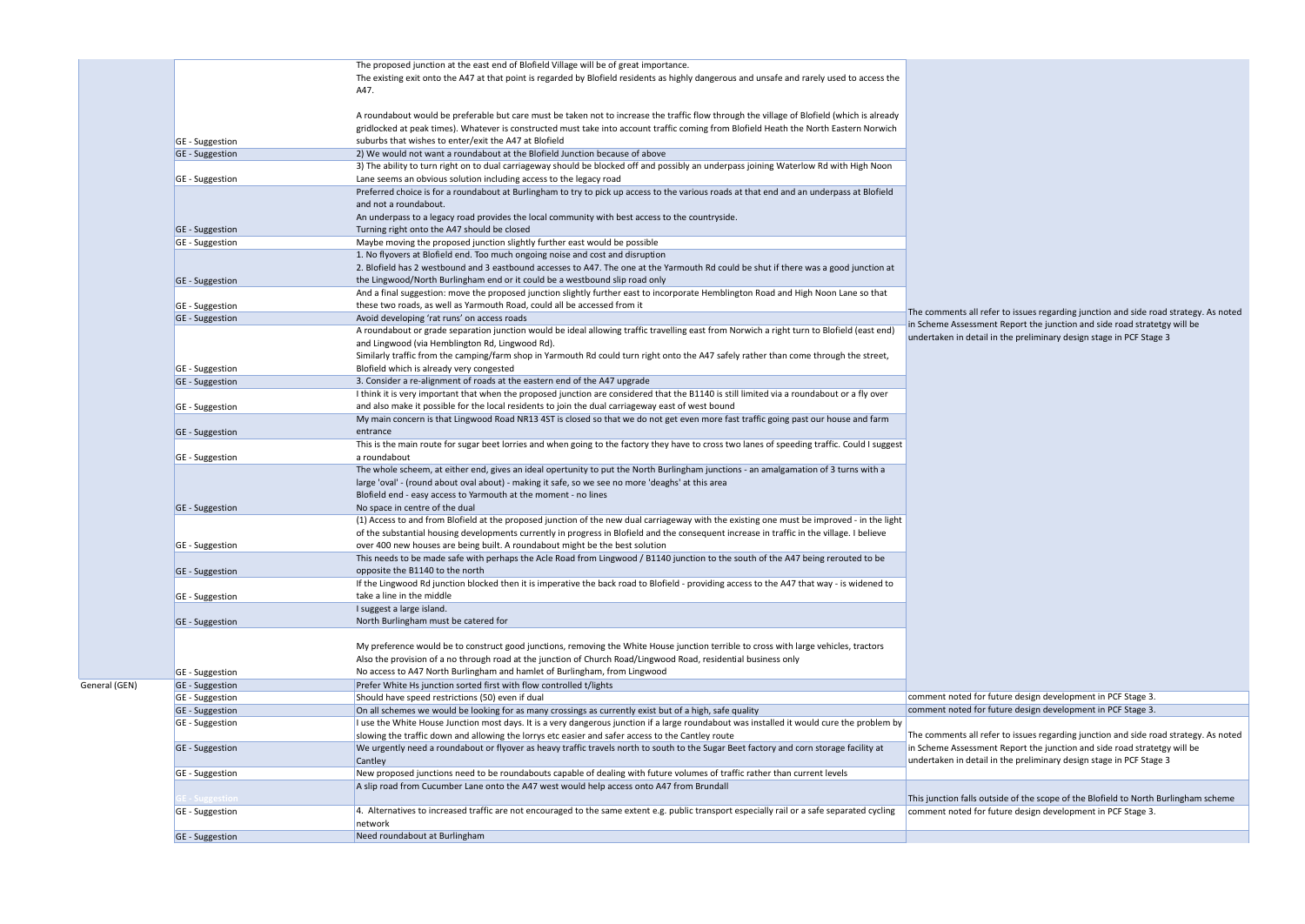|               |                        | The proposed junction at the east end of Blofield Village will be of great importance.                                                                               |                                                                                      |
|---------------|------------------------|----------------------------------------------------------------------------------------------------------------------------------------------------------------------|--------------------------------------------------------------------------------------|
|               |                        | The existing exit onto the A47 at that point is regarded by Blofield residents as highly dangerous and unsafe and rarely used to access the                          |                                                                                      |
|               |                        | A47.                                                                                                                                                                 |                                                                                      |
|               |                        |                                                                                                                                                                      |                                                                                      |
|               |                        | A roundabout would be preferable but care must be taken not to increase the traffic flow through the village of Blofield (which is already                           |                                                                                      |
|               |                        | gridlocked at peak times). Whatever is constructed must take into account traffic coming from Blofield Heath the North Eastern Norwich                               |                                                                                      |
|               | GE - Suggestion        | suburbs that wishes to enter/exit the A47 at Blofield                                                                                                                |                                                                                      |
|               | GE - Suggestion        | 2) We would not want a roundabout at the Blofield Junction because of above                                                                                          |                                                                                      |
|               |                        | 3) The ability to turn right on to dual carriageway should be blocked off and possibly an underpass joining Waterlow Rd with High Noon                               |                                                                                      |
|               | GE - Suggestion        | Lane seems an obvious solution including access to the legacy road                                                                                                   |                                                                                      |
|               |                        | Preferred choice is for a roundabout at Burlingham to try to pick up access to the various roads at that end and an underpass at Blofield                            |                                                                                      |
|               |                        | and not a roundabout.                                                                                                                                                |                                                                                      |
|               |                        | An underpass to a legacy road provides the local community with best access to the countryside.                                                                      |                                                                                      |
|               | GE - Suggestion        | Turning right onto the A47 should be closed                                                                                                                          |                                                                                      |
|               | GE - Suggestion        | Maybe moving the proposed junction slightly further east would be possible                                                                                           |                                                                                      |
|               |                        | 1. No flyovers at Blofield end. Too much ongoing noise and cost and disruption                                                                                       |                                                                                      |
|               |                        | 2. Blofield has 2 westbound and 3 eastbound accesses to A47. The one at the Yarmouth Rd could be shut if there was a good junction at                                |                                                                                      |
|               | GE - Suggestion        | the Lingwood/North Burlingham end or it could be a westbound slip road only                                                                                          |                                                                                      |
|               |                        | And a final suggestion: move the proposed junction slightly further east to incorporate Hemblington Road and High Noon Lane so that                                  |                                                                                      |
|               | <b>GE</b> - Suggestion | these two roads, as well as Yarmouth Road, could all be accessed from it                                                                                             | The comments all refer to issues regarding junction and side road strategy. As noted |
|               | GE - Suggestion        | Avoid developing 'rat runs' on access roads                                                                                                                          | in Scheme Assessment Report the junction and side road stratetgy will be             |
|               |                        | A roundabout or grade separation junction would be ideal allowing traffic travelling east from Norwich a right turn to Blofield (east end)                           | undertaken in detail in the preliminary design stage in PCF Stage 3                  |
|               |                        | and Lingwood (via Hemblington Rd, Lingwood Rd).                                                                                                                      |                                                                                      |
|               |                        | Similarly traffic from the camping/farm shop in Yarmouth Rd could turn right onto the A47 safely rather than come through the street,                                |                                                                                      |
|               | GE - Suggestion        | Blofield which is already very congested                                                                                                                             |                                                                                      |
|               | GE - Suggestion        | 3. Consider a re-alignment of roads at the eastern end of the A47 upgrade                                                                                            |                                                                                      |
|               |                        | I think it is very important that when the proposed junction are considered that the B1140 is still limited via a roundabout or a fly over                           |                                                                                      |
|               | GE - Suggestion        | and also make it possible for the local residents to join the dual carriageway east of west bound                                                                    |                                                                                      |
|               |                        | My main concern is that Lingwood Road NR13 4ST is closed so that we do not get even more fast traffic going past our house and farm                                  |                                                                                      |
|               | GE - Suggestion        | entrance                                                                                                                                                             |                                                                                      |
|               |                        | This is the main route for sugar beet lorries and when going to the factory they have to cross two lanes of speeding traffic. Could I suggest                        |                                                                                      |
|               | GE - Suggestion        | a roundabout                                                                                                                                                         |                                                                                      |
|               |                        | The whole scheem, at either end, gives an ideal opertunity to put the North Burlingham junctions - an amalgamation of 3 turns with a                                 |                                                                                      |
|               |                        | large 'oval' - (round about oval about) - making it safe, so we see no more 'deaghs' at this area                                                                    |                                                                                      |
|               |                        | Blofield end - easy access to Yarmouth at the moment - no lines                                                                                                      |                                                                                      |
|               | GE - Suggestion        | No space in centre of the dual                                                                                                                                       |                                                                                      |
|               |                        | (1) Access to and from Blofield at the proposed junction of the new dual carriageway with the existing one must be improved - in the light                           |                                                                                      |
|               |                        | of the substantial housing developments currently in progress in Blofield and the consequent increase in traffic in the village. I believe                           |                                                                                      |
|               | GE - Suggestion        | over 400 new houses are being built. A roundabout might be the best solution                                                                                         |                                                                                      |
|               |                        | This needs to be made safe with perhaps the Acle Road from Lingwood / B1140 junction to the south of the A47 being rerouted to be<br>opposite the B1140 to the north |                                                                                      |
|               | GE - Suggestion        | If the Lingwood Rd junction blocked then it is imperative the back road to Blofield - providing access to the A47 that way - is widened to                           |                                                                                      |
|               |                        | take a line in the middle                                                                                                                                            |                                                                                      |
|               | GE - Suggestion        | I suggest a large island.                                                                                                                                            |                                                                                      |
|               | GE - Suggestion        | North Burlingham must be catered for                                                                                                                                 |                                                                                      |
|               |                        |                                                                                                                                                                      |                                                                                      |
|               |                        | My preference would be to construct good junctions, removing the White House junction terrible to cross with large vehicles, tractors                                |                                                                                      |
|               |                        | Also the provision of a no through road at the junction of Church Road/Lingwood Road, residential business only                                                      |                                                                                      |
|               | GE - Suggestion        | No access to A47 North Burlingham and hamlet of Burlingham, from Lingwood                                                                                            |                                                                                      |
| General (GEN) | GE - Suggestion        | Prefer White Hs junction sorted first with flow controlled t/lights                                                                                                  |                                                                                      |
|               | GE - Suggestion        | Should have speed restrictions (50) even if dual                                                                                                                     | comment noted for future design development in PCF Stage 3.                          |
|               | GE - Suggestion        | On all schemes we would be looking for as many crossings as currently exist but of a high, safe quality                                                              | comment noted for future design development in PCF Stage 3.                          |
|               | GE - Suggestion        | I use the White House Junction most days. It is a very dangerous junction if a large roundabout was installed it would cure the problem by                           |                                                                                      |
|               |                        | slowing the traffic down and allowing the lorrys etc easier and safer access to the Cantley route                                                                    | The comments all refer to issues regarding junction and side road strategy. As noted |
|               | GE - Suggestion        | We urgently need a roundabout or flyover as heavy traffic travels north to south to the Sugar Beet factory and corn storage facility at                              | in Scheme Assessment Report the junction and side road stratetgy will be             |
|               |                        | Cantley                                                                                                                                                              | undertaken in detail in the preliminary design stage in PCF Stage 3                  |
|               | GE - Suggestion        | New proposed junctions need to be roundabouts capable of dealing with future volumes of traffic rather than current levels                                           |                                                                                      |
|               |                        | A slip road from Cucumber Lane onto the A47 west would help access onto A47 from Brundall                                                                            |                                                                                      |
|               | - Suggestion           |                                                                                                                                                                      | This junction falls outside of the scope of the Blofield to North Burlingham scheme  |
|               | GE - Suggestion        | 4. Alternatives to increased traffic are not encouraged to the same extent e.g. public transport especially rail or a safe separated cycling                         | comment noted for future design development in PCF Stage 3.                          |
|               |                        | network                                                                                                                                                              |                                                                                      |
|               | GE - Suggestion        | Need roundabout at Burlingham                                                                                                                                        |                                                                                      |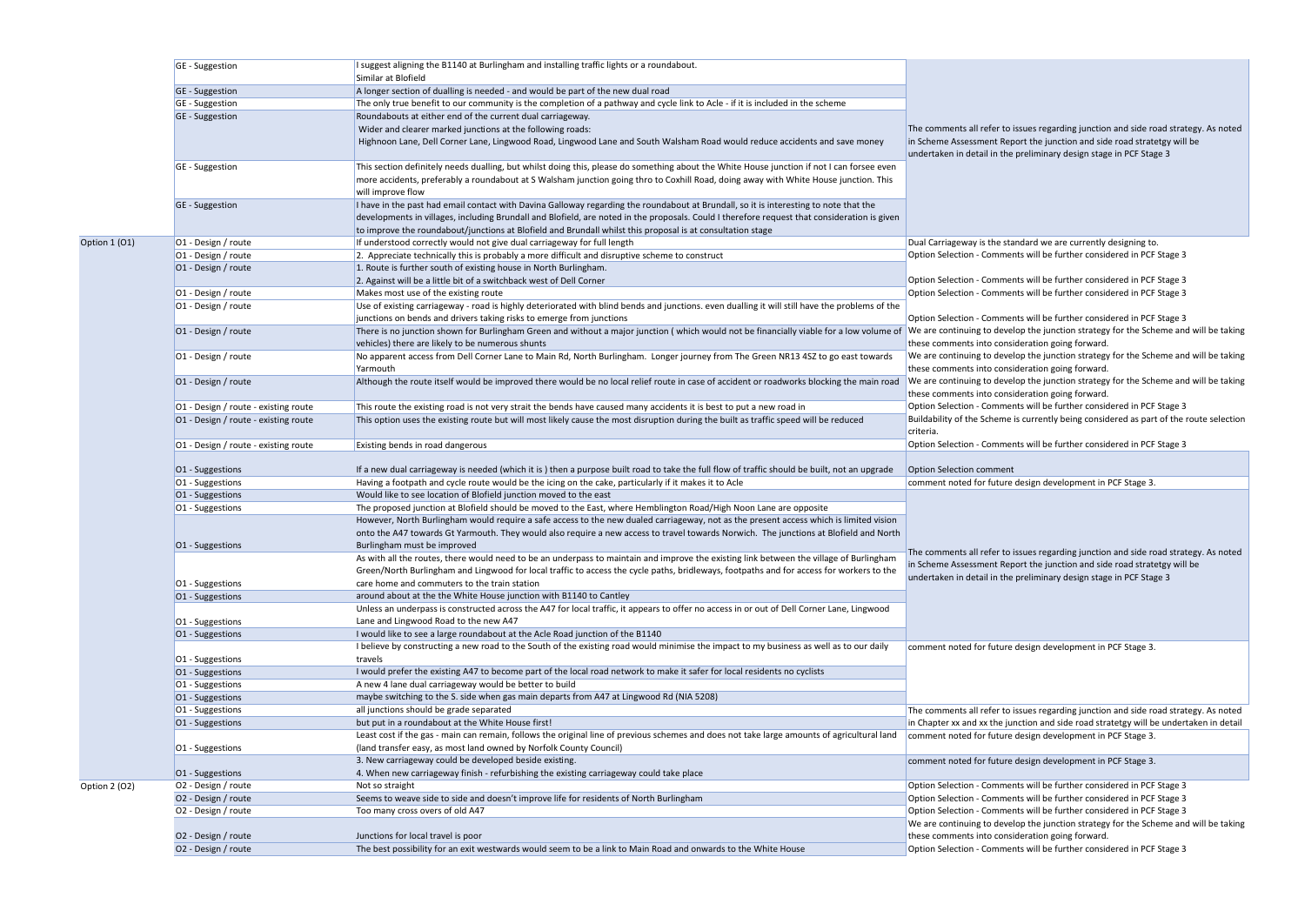|               | GE - Suggestion                            | I suggest aligning the B1140 at Burlingham and installing traffic lights or a roundabout.                                                            |                                                                                                                           |
|---------------|--------------------------------------------|------------------------------------------------------------------------------------------------------------------------------------------------------|---------------------------------------------------------------------------------------------------------------------------|
|               |                                            | Similar at Blofield                                                                                                                                  |                                                                                                                           |
|               | GE - Suggestion                            | A longer section of dualling is needed - and would be part of the new dual road                                                                      |                                                                                                                           |
|               | GE - Suggestion                            | The only true benefit to our community is the completion of a pathway and cycle link to Acle - if it is included in the scheme                       |                                                                                                                           |
|               | GE - Suggestion                            | Roundabouts at either end of the current dual carriageway.                                                                                           |                                                                                                                           |
|               |                                            | Wider and clearer marked junctions at the following roads:                                                                                           | The comments all refer to issues regarding junction and side road strategy. As noted                                      |
|               |                                            | Highnoon Lane, Dell Corner Lane, Lingwood Road, Lingwood Lane and South Walsham Road would reduce accidents and save money                           | in Scheme Assessment Report the junction and side road stratetgy will be                                                  |
|               |                                            |                                                                                                                                                      | undertaken in detail in the preliminary design stage in PCF Stage 3                                                       |
|               | GE - Suggestion                            | This section definitely needs dualling, but whilst doing this, please do something about the White House junction if not I can forsee even           |                                                                                                                           |
|               |                                            | more accidents, preferably a roundabout at S Walsham junction going thro to Coxhill Road, doing away with White House junction. This                 |                                                                                                                           |
|               |                                            | will improve flow                                                                                                                                    |                                                                                                                           |
|               | GE - Suggestion                            | I have in the past had email contact with Davina Galloway regarding the roundabout at Brundall, so it is interesting to note that the                |                                                                                                                           |
|               |                                            |                                                                                                                                                      |                                                                                                                           |
|               |                                            | developments in villages, including Brundall and Blofield, are noted in the proposals. Could I therefore request that consideration is given         |                                                                                                                           |
|               |                                            | to improve the roundabout/junctions at Blofield and Brundall whilst this proposal is at consultation stage                                           |                                                                                                                           |
| Option 1 (O1) | $ O1 - Design / route$                     | If understood correctly would not give dual carriageway for full length                                                                              | Dual Carriageway is the standard we are currently designing to.                                                           |
|               | 01 - Design / route                        | 2. Appreciate technically this is probably a more difficult and disruptive scheme to construct                                                       | Option Selection - Comments will be further considered in PCF Stage 3                                                     |
|               | $ O1 - Design / route$                     | 1. Route is further south of existing house in North Burlingham.                                                                                     |                                                                                                                           |
|               |                                            | 2. Against will be a little bit of a switchback west of Dell Corner                                                                                  | Option Selection - Comments will be further considered in PCF Stage 3                                                     |
|               | $O1 - Design / route$                      | Makes most use of the existing route                                                                                                                 | Option Selection - Comments will be further considered in PCF Stage 3                                                     |
|               | 01 - Design / route                        | Use of existing carriageway - road is highly deteriorated with blind bends and junctions. even dualling it will still have the problems of the       |                                                                                                                           |
|               |                                            | junctions on bends and drivers taking risks to emerge from junctions                                                                                 | Option Selection - Comments will be further considered in PCF Stage 3                                                     |
|               | O1 - Design / route                        | There is no junction shown for Burlingham Green and without a major junction (which would not be financially viable for a low volume of              | We are continuing to develop the junction strategy for the Scheme and will be taking                                      |
|               |                                            |                                                                                                                                                      |                                                                                                                           |
|               |                                            | vehicles) there are likely to be numerous shunts                                                                                                     | these comments into consideration going forward.                                                                          |
|               | O1 - Design / route                        | No apparent access from Dell Corner Lane to Main Rd, North Burlingham. Longer journey from The Green NR13 4SZ to go east towards                     | We are continuing to develop the junction strategy for the Scheme and will be taking                                      |
|               |                                            | Yarmouth                                                                                                                                             | these comments into consideration going forward.                                                                          |
|               | $ O1 - Design / route$                     | Although the route itself would be improved there would be no local relief route in case of accident or roadworks blocking the main road             | We are continuing to develop the junction strategy for the Scheme and will be taking                                      |
|               |                                            |                                                                                                                                                      | these comments into consideration going forward.                                                                          |
|               | 01 - Design / route - existing route       | This route the existing road is not very strait the bends have caused many accidents it is best to put a new road in                                 | Option Selection - Comments will be further considered in PCF Stage 3                                                     |
|               | 01 - Design / route - existing route       | This option uses the existing route but will most likely cause the most disruption during the built as traffic speed will be reduced                 | Buildability of the Scheme is currently being considered as part of the route selection                                   |
|               |                                            |                                                                                                                                                      | criteria.                                                                                                                 |
|               | O1 - Design / route - existing route       | Existing bends in road dangerous                                                                                                                     | Option Selection - Comments will be further considered in PCF Stage 3                                                     |
|               |                                            |                                                                                                                                                      |                                                                                                                           |
|               | O1 - Suggestions                           | If a new dual carriageway is needed (which it is) then a purpose built road to take the full flow of traffic should be built, not an upgrade         | Option Selection comment                                                                                                  |
|               |                                            | Having a footpath and cycle route would be the icing on the cake, particularly if it makes it to Acle                                                |                                                                                                                           |
|               | O1 - Suggestions                           |                                                                                                                                                      | comment noted for future design development in PCF Stage 3                                                                |
|               | O1 - Suggestions                           | Would like to see location of Blofield junction moved to the east                                                                                    |                                                                                                                           |
|               | O1 - Suggestions                           | The proposed junction at Blofield should be moved to the East, where Hemblington Road/High Noon Lane are opposite                                    |                                                                                                                           |
|               |                                            |                                                                                                                                                      |                                                                                                                           |
|               |                                            | However, North Burlingham would require a safe access to the new dualed carriageway, not as the present access which is limited vision               |                                                                                                                           |
|               |                                            | onto the A47 towards Gt Yarmouth. They would also require a new access to travel towards Norwich. The junctions at Blofield and North                |                                                                                                                           |
|               | O1 - Suggestions                           | Burlingham must be improved                                                                                                                          |                                                                                                                           |
|               |                                            | As with all the routes, there would need to be an underpass to maintain and improve the existing link between the village of Burlingham              | The comments all refer to issues regarding junction and side road strategy. As noted                                      |
|               |                                            |                                                                                                                                                      | in Scheme Assessment Report the junction and side road stratetgy will be                                                  |
|               |                                            | Green/North Burlingham and Lingwood for local traffic to access the cycle paths, bridleways, footpaths and for access for workers to the             | undertaken in detail in the preliminary design stage in PCF Stage 3                                                       |
|               | O1 - Suggestions                           | care home and commuters to the train station                                                                                                         |                                                                                                                           |
|               | O1 - Suggestions                           | around about at the the White House junction with B1140 to Cantley                                                                                   |                                                                                                                           |
|               |                                            | Unless an underpass is constructed across the A47 for local traffic, it appears to offer no access in or out of Dell Corner Lane, Lingwood           |                                                                                                                           |
|               | O1 - Suggestions                           | Lane and Lingwood Road to the new A47                                                                                                                |                                                                                                                           |
|               | $ O1 - S$ uggestions                       | I would like to see a large roundabout at the Acle Road junction of the B1140                                                                        |                                                                                                                           |
|               |                                            | I believe by constructing a new road to the South of the existing road would minimise the impact to my business as well as to our daily              | comment noted for future design development in PCF Stage 3.                                                               |
|               | O <sub>1</sub> - Suggestions               | travels                                                                                                                                              |                                                                                                                           |
|               | O1 - Suggestions                           | I would prefer the existing A47 to become part of the local road network to make it safer for local residents no cyclists                            |                                                                                                                           |
|               | O1 - Suggestions                           | A new 4 lane dual carriageway would be better to build                                                                                               |                                                                                                                           |
|               |                                            | maybe switching to the S. side when gas main departs from A47 at Lingwood Rd (NIA 5208)                                                              |                                                                                                                           |
|               | O1 - Suggestions                           |                                                                                                                                                      |                                                                                                                           |
|               | O1 - Suggestions                           | all junctions should be grade separated                                                                                                              | The comments all refer to issues regarding junction and side road strategy. As noted                                      |
|               | O1 - Suggestions                           | but put in a roundabout at the White House first!                                                                                                    | in Chapter xx and xx the junction and side road stratetgy will be undertaken in detail                                    |
|               |                                            | Least cost if the gas - main can remain, follows the original line of previous schemes and does not take large amounts of agricultural land          | comment noted for future design development in PCF Stage 3.                                                               |
|               | O1 - Suggestions                           | (land transfer easy, as most land owned by Norfolk County Council)                                                                                   |                                                                                                                           |
|               |                                            | 3. New carriageway could be developed beside existing.                                                                                               | comment noted for future design development in PCF Stage 3.                                                               |
|               | O1 - Suggestions                           | 4. When new carriageway finish - refurbishing the existing carriageway could take place                                                              |                                                                                                                           |
| Option 2 (O2) | O2 - Design / route                        | Not so straight                                                                                                                                      | Option Selection - Comments will be further considered in PCF Stage 3                                                     |
|               | O2 - Design / route                        | Seems to weave side to side and doesn't improve life for residents of North Burlingham                                                               | Option Selection - Comments will be further considered in PCF Stage 3                                                     |
|               | O2 - Design / route                        | Too many cross overs of old A47                                                                                                                      | Option Selection - Comments will be further considered in PCF Stage 3                                                     |
|               |                                            |                                                                                                                                                      | We are continuing to develop the junction strategy for the Scheme and will be taking                                      |
|               |                                            |                                                                                                                                                      |                                                                                                                           |
|               | O2 - Design / route<br>O2 - Design / route | Junctions for local travel is poor<br>The best possibility for an exit westwards would seem to be a link to Main Road and onwards to the White House | these comments into consideration going forward.<br>Option Selection - Comments will be further considered in PCF Stage 3 |

| the scheme                            |                                                                                                                                                                                |
|---------------------------------------|--------------------------------------------------------------------------------------------------------------------------------------------------------------------------------|
|                                       | The comments all refer to issues regarding junction and side road strategy. As noted                                                                                           |
| lents and save money                  | in Scheme Assessment Report the junction and side road stratetgy will be                                                                                                       |
|                                       | undertaken in detail in the preliminary design stage in PCF Stage 3                                                                                                            |
| n if not I can forsee even            |                                                                                                                                                                                |
| ite House junction. This              |                                                                                                                                                                                |
| ing to note that the                  |                                                                                                                                                                                |
| hat consideration is given            |                                                                                                                                                                                |
|                                       |                                                                                                                                                                                |
|                                       | Dual Carriageway is the standard we are currently designing to.                                                                                                                |
|                                       | Option Selection - Comments will be further considered in PCF Stage 3                                                                                                          |
|                                       |                                                                                                                                                                                |
|                                       | Option Selection - Comments will be further considered in PCF Stage 3                                                                                                          |
| have the problems of the              | Option Selection - Comments will be further considered in PCF Stage 3                                                                                                          |
|                                       | Option Selection - Comments will be further considered in PCF Stage 3                                                                                                          |
| viable for a low volume of            | We are continuing to develop the junction strategy for the Scheme and will be taking                                                                                           |
|                                       | these comments into consideration going forward.                                                                                                                               |
| 4SZ to go east towards                | We are continuing to develop the junction strategy for the Scheme and will be taking                                                                                           |
|                                       | these comments into consideration going forward.                                                                                                                               |
| ks blocking the main road             | We are continuing to develop the junction strategy for the Scheme and will be taking                                                                                           |
|                                       | these comments into consideration going forward.                                                                                                                               |
| in<br>I will be reduced               | Option Selection - Comments will be further considered in PCF Stage 3<br>Buildability of the Scheme is currently being considered as part of the route selection               |
|                                       | criteria.                                                                                                                                                                      |
|                                       | Option Selection - Comments will be further considered in PCF Stage 3                                                                                                          |
|                                       |                                                                                                                                                                                |
| be built, not an upgrade              | <b>Option Selection comment</b>                                                                                                                                                |
|                                       | comment noted for future design development in PCF Stage 3.                                                                                                                    |
|                                       |                                                                                                                                                                                |
| pposite<br>ss which is limited vision |                                                                                                                                                                                |
| ions at Blofield and North            |                                                                                                                                                                                |
|                                       |                                                                                                                                                                                |
| the village of Burlingham             | The comments all refer to issues regarding junction and side road strategy. As noted<br>in Scheme Assessment Report the junction and side road stratetgy will be               |
| access for workers to the             | undertaken in detail in the preliminary design stage in PCF Stage 3                                                                                                            |
|                                       |                                                                                                                                                                                |
|                                       |                                                                                                                                                                                |
| Corner Lane, Lingwood                 |                                                                                                                                                                                |
|                                       |                                                                                                                                                                                |
| s as well as to our daily             | comment noted for future design development in PCF Stage 3.                                                                                                                    |
|                                       |                                                                                                                                                                                |
| cyclists                              |                                                                                                                                                                                |
|                                       |                                                                                                                                                                                |
|                                       |                                                                                                                                                                                |
|                                       | The comments all refer to issues regarding junction and side road strategy. As noted<br>in Chapter xx and xx the junction and side road stratetgy will be undertaken in detail |
| ounts of agricultural land            | comment noted for future design development in PCF Stage 3.                                                                                                                    |
|                                       |                                                                                                                                                                                |
|                                       | comment noted for future design development in PCF Stage 3.                                                                                                                    |
|                                       |                                                                                                                                                                                |
|                                       | Option Selection - Comments will be further considered in PCF Stage 3                                                                                                          |
|                                       | Option Selection - Comments will be further considered in PCF Stage 3                                                                                                          |
|                                       | Option Selection - Comments will be further considered in PCF Stage 3<br>We are continuing to develop the junction strategy for the Scheme and will be taking                  |
|                                       | these comments into consideration going forward.                                                                                                                               |
| ïе                                    | Option Selection - Comments will be further considered in PCF Stage 3                                                                                                          |
|                                       |                                                                                                                                                                                |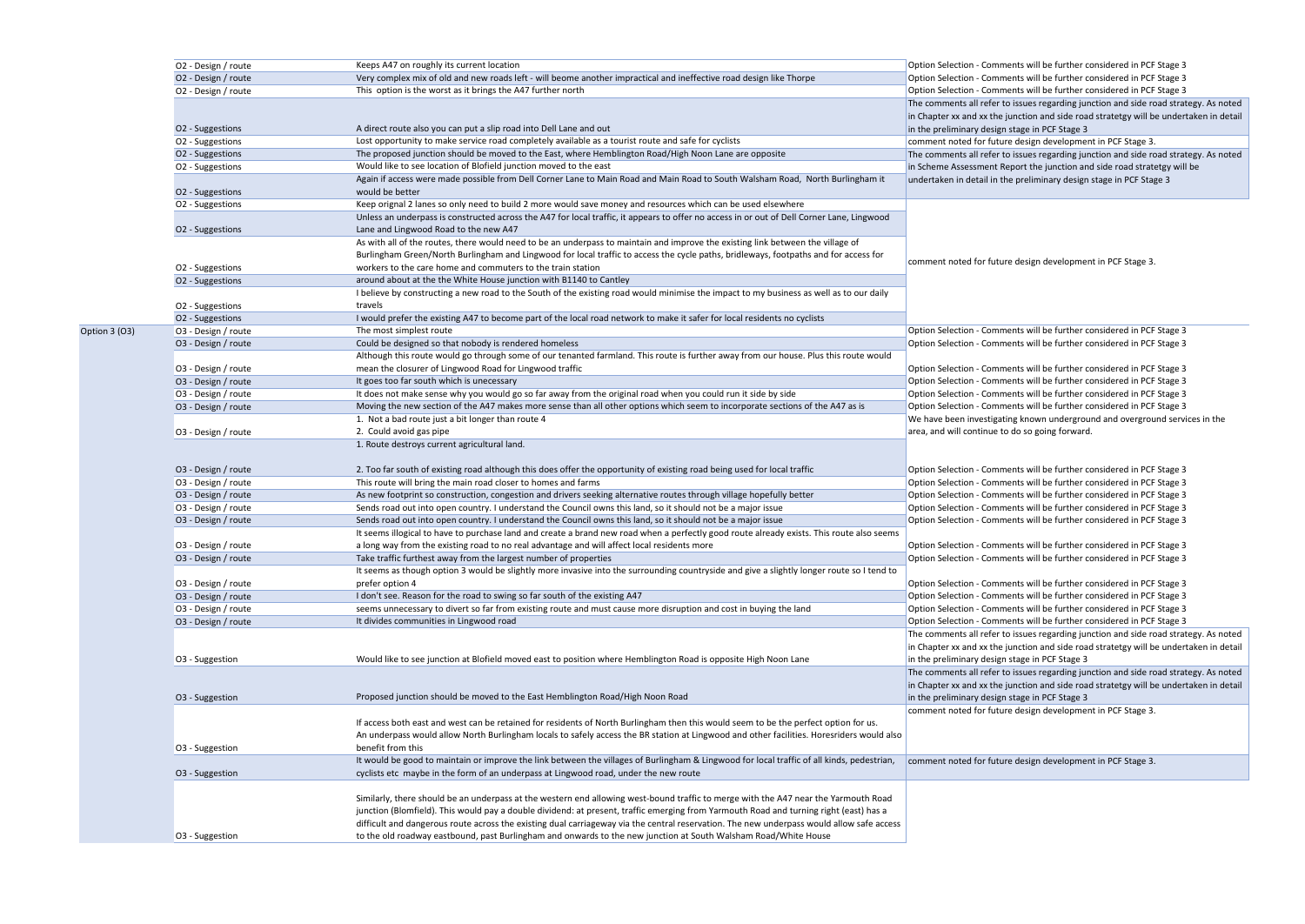|               | O2 - Design / route             | Keeps A47 on roughly its current location                                                                                                  | Option Selection - Comments will be further considered in PCF Stage 3   |
|---------------|---------------------------------|--------------------------------------------------------------------------------------------------------------------------------------------|-------------------------------------------------------------------------|
|               | O2 - Design / route             | Very complex mix of old and new roads left - will beome another impractical and ineffective road design like Thorpe                        | Option Selection - Comments will be further considered in PCF Stage 3   |
|               | O2 - Design / route             | This option is the worst as it brings the A47 further north                                                                                | Option Selection - Comments will be further considered in PCF Stage 3   |
|               |                                 |                                                                                                                                            | The comments all refer to issues regarding junction and side road stra  |
|               |                                 |                                                                                                                                            | in Chapter xx and xx the junction and side road stratetgy will be under |
|               | O2 - Suggestions                | A direct route also you can put a slip road into Dell Lane and out                                                                         | in the preliminary design stage in PCF Stage 3                          |
|               | O2 - Suggestions                | Lost opportunity to make service road completely available as a tourist route and safe for cyclists                                        | comment noted for future design development in PCF Stage 3.             |
|               | O2 - Suggestions                | The proposed junction should be moved to the East, where Hemblington Road/High Noon Lane are opposite                                      | The comments all refer to issues regarding junction and side road stra  |
|               | O2 - Suggestions                | Would like to see location of Blofield junction moved to the east                                                                          | in Scheme Assessment Report the junction and side road stratetgy wil    |
|               |                                 | Again if access were made possible from Dell Corner Lane to Main Road and Main Road to South Walsham Road, North Burlingham it             | undertaken in detail in the preliminary design stage in PCF Stage 3     |
|               | O2 - Suggestions                | would be better                                                                                                                            |                                                                         |
|               | O2 - Suggestions                | Keep orignal 2 lanes so only need to build 2 more would save money and resources which can be used elsewhere                               |                                                                         |
|               |                                 | Unless an underpass is constructed across the A47 for local traffic, it appears to offer no access in or out of Dell Corner Lane, Lingwood |                                                                         |
|               | O2 - Suggestions                | Lane and Lingwood Road to the new A47                                                                                                      |                                                                         |
|               |                                 | As with all of the routes, there would need to be an underpass to maintain and improve the existing link between the village of            |                                                                         |
|               |                                 | Burlingham Green/North Burlingham and Lingwood for local traffic to access the cycle paths, bridleways, footpaths and for access for       | comment noted for future design development in PCF Stage 3.             |
|               | O2 - Suggestions                | workers to the care home and commuters to the train station                                                                                |                                                                         |
|               | O2 - Suggestions                | around about at the the White House junction with B1140 to Cantley                                                                         |                                                                         |
|               |                                 | I believe by constructing a new road to the South of the existing road would minimise the impact to my business as well as to our daily    |                                                                         |
|               | O2 - Suggestions                | travels                                                                                                                                    |                                                                         |
|               | O2 - Suggestions                | I would prefer the existing A47 to become part of the local road network to make it safer for local residents no cyclists                  |                                                                         |
| Option 3 (O3) | O <sub>3</sub> - Design / route | The most simplest route                                                                                                                    | Option Selection - Comments will be further considered in PCF Stage 3   |
|               | O3 - Design / route             | Could be designed so that nobody is rendered homeless                                                                                      | Option Selection - Comments will be further considered in PCF Stage 3   |
|               |                                 | Although this route would go through some of our tenanted farmland. This route is further away from our house. Plus this route would       |                                                                         |
|               | 03 - Design / route             | mean the closurer of Lingwood Road for Lingwood traffic                                                                                    | Option Selection - Comments will be further considered in PCF Stage 3   |
|               | O3 - Design / route             | It goes too far south which is unecessary                                                                                                  | Option Selection - Comments will be further considered in PCF Stage 3   |
|               | O <sub>3</sub> - Design / route | It does not make sense why you would go so far away from the original road when you could run it side by side                              | Option Selection - Comments will be further considered in PCF Stage 3   |
|               | O3 - Design / route             | Moving the new section of the A47 makes more sense than all other options which seem to incorporate sections of the A47 as is              | Option Selection - Comments will be further considered in PCF Stage 3   |
|               |                                 | 1. Not a bad route just a bit longer than route 4                                                                                          | We have been investigating known underground and overground serv        |
|               | 03 - Design / route             | 2. Could avoid gas pipe                                                                                                                    | area, and will continue to do so going forward.                         |
|               |                                 | 1. Route destroys current agricultural land.                                                                                               |                                                                         |
|               | O3 - Design / route             | 2. Too far south of existing road although this does offer the opportunity of existing road being used for local traffic                   | Option Selection - Comments will be further considered in PCF Stage 3   |
|               | 03 - Design / route             | This route will bring the main road closer to homes and farms                                                                              | Option Selection - Comments will be further considered in PCF Stage 3   |
|               | O3 - Design / route             | As new footprint so construction, congestion and drivers seeking alternative routes through village hopefully better                       | Option Selection - Comments will be further considered in PCF Stage 3   |
|               | 03 - Design / route             | Sends road out into open country. I understand the Council owns this land, so it should not be a major issue                               | Option Selection - Comments will be further considered in PCF Stage 3   |
|               | O3 - Design / route             | Sends road out into open country. I understand the Council owns this land, so it should not be a major issue                               | Option Selection - Comments will be further considered in PCF Stage 3   |
|               |                                 | It seems illogical to have to purchase land and create a brand new road when a perfectly good route already exists. This route also seems  |                                                                         |
|               | 03 - Design / route             | a long way from the existing road to no real advantage and will affect local residents more                                                | Option Selection - Comments will be further considered in PCF Stage 3   |
|               | O3 - Design / route             | Take traffic furthest away from the largest number of properties                                                                           | Option Selection - Comments will be further considered in PCF Stage 3   |
|               |                                 | It seems as though option 3 would be slightly more invasive into the surrounding countryside and give a slightly longer route so I tend to |                                                                         |
|               | 03 - Design / route             | prefer option 4                                                                                                                            | Option Selection - Comments will be further considered in PCF Stage 3   |
|               | O3 - Design / route             | I don't see. Reason for the road to swing so far south of the existing A47                                                                 | Option Selection - Comments will be further considered in PCF Stage 3   |
|               | 03 - Design / route             | seems unnecessary to divert so far from existing route and must cause more disruption and cost in buying the land                          | Option Selection - Comments will be further considered in PCF Stage 3   |
|               | O3 - Design / route             | It divides communities in Lingwood road                                                                                                    | Option Selection - Comments will be further considered in PCF Stage 3   |
|               |                                 |                                                                                                                                            | The comments all refer to issues regarding junction and side road stra  |
|               |                                 |                                                                                                                                            | in Chapter xx and xx the junction and side road stratetgy will be under |
|               | O <sub>3</sub> - Suggestion     | Would like to see junction at Blofield moved east to position where Hemblington Road is opposite High Noon Lane                            | in the preliminary design stage in PCF Stage 3                          |
|               |                                 |                                                                                                                                            | The comments all refer to issues regarding junction and side road stra  |
|               |                                 |                                                                                                                                            | in Chapter xx and xx the junction and side road stratetgy will be under |
|               | O3 - Suggestion                 | Proposed junction should be moved to the East Hemblington Road/High Noon Road                                                              | in the preliminary design stage in PCF Stage 3                          |
|               |                                 |                                                                                                                                            | comment noted for future design development in PCF Stage 3.             |
|               |                                 | If access both east and west can be retained for residents of North Burlingham then this would seem to be the perfect option for us.       |                                                                         |
|               |                                 | An underpass would allow North Burlingham locals to safely access the BR station at Lingwood and other facilities. Horesriders would also  |                                                                         |
|               | O <sub>3</sub> - Suggestion     | benefit from this                                                                                                                          |                                                                         |
|               |                                 | It would be good to maintain or improve the link between the villages of Burlingham & Lingwood for local traffic of all kinds, pedestrian, | comment noted for future design development in PCF Stage 3.             |
|               | O3 - Suggestion                 | cyclists etc maybe in the form of an underpass at Lingwood road, under the new route                                                       |                                                                         |
|               |                                 |                                                                                                                                            |                                                                         |
|               |                                 | Similarly, there should be an underpass at the western end allowing west-bound traffic to merge with the A47 near the Yarmouth Road        |                                                                         |
|               |                                 | junction (Blomfield). This would pay a double dividend: at present, traffic emerging from Yarmouth Road and turning right (east) has a     |                                                                         |
|               |                                 | difficult and dangerous route across the existing dual carriageway via the central reservation. The new underpass would allow safe access  |                                                                         |
|               | O <sub>3</sub> - Suggestion     | to the old roadway eastbound, past Burlingham and onwards to the new junction at South Walsham Road/White House                            |                                                                         |
|               |                                 |                                                                                                                                            |                                                                         |

| rpe                        | Option Selection - Comments will be further considered in PCF Stage 3<br>Option Selection - Comments will be further considered in PCF Stage 3<br>Option Selection - Comments will be further considered in PCF Stage 3<br>The comments all refer to issues regarding junction and side road strategy. As noted<br>in Chapter xx and xx the junction and side road stratetgy will be undertaken in detail<br>in the preliminary design stage in PCF Stage 3 |
|----------------------------|-------------------------------------------------------------------------------------------------------------------------------------------------------------------------------------------------------------------------------------------------------------------------------------------------------------------------------------------------------------------------------------------------------------------------------------------------------------|
|                            | comment noted for future design development in PCF Stage 3.                                                                                                                                                                                                                                                                                                                                                                                                 |
|                            | The comments all refer to issues regarding junction and side road strategy. As noted                                                                                                                                                                                                                                                                                                                                                                        |
| North Burlingham it        | in Scheme Assessment Report the junction and side road stratetgy will be<br>undertaken in detail in the preliminary design stage in PCF Stage 3                                                                                                                                                                                                                                                                                                             |
| е                          |                                                                                                                                                                                                                                                                                                                                                                                                                                                             |
| Corner Lane, Lingwood      |                                                                                                                                                                                                                                                                                                                                                                                                                                                             |
| n the village of           |                                                                                                                                                                                                                                                                                                                                                                                                                                                             |
| ths and for access for     |                                                                                                                                                                                                                                                                                                                                                                                                                                                             |
|                            | comment noted for future design development in PCF Stage 3.                                                                                                                                                                                                                                                                                                                                                                                                 |
| as well as to our daily    |                                                                                                                                                                                                                                                                                                                                                                                                                                                             |
|                            |                                                                                                                                                                                                                                                                                                                                                                                                                                                             |
| yclists                    |                                                                                                                                                                                                                                                                                                                                                                                                                                                             |
|                            | Option Selection - Comments will be further considered in PCF Stage 3                                                                                                                                                                                                                                                                                                                                                                                       |
|                            | Option Selection - Comments will be further considered in PCF Stage 3                                                                                                                                                                                                                                                                                                                                                                                       |
| e. Plus this route would   |                                                                                                                                                                                                                                                                                                                                                                                                                                                             |
|                            | Option Selection - Comments will be further considered in PCF Stage 3                                                                                                                                                                                                                                                                                                                                                                                       |
|                            | Option Selection - Comments will be further considered in PCF Stage 3                                                                                                                                                                                                                                                                                                                                                                                       |
|                            | Option Selection - Comments will be further considered in PCF Stage 3                                                                                                                                                                                                                                                                                                                                                                                       |
| of the A47 as is           | Option Selection - Comments will be further considered in PCF Stage 3                                                                                                                                                                                                                                                                                                                                                                                       |
|                            | We have been investigating known underground and overground services in the                                                                                                                                                                                                                                                                                                                                                                                 |
|                            | area, and will continue to do so going forward.                                                                                                                                                                                                                                                                                                                                                                                                             |
|                            |                                                                                                                                                                                                                                                                                                                                                                                                                                                             |
|                            |                                                                                                                                                                                                                                                                                                                                                                                                                                                             |
| ffic                       | Option Selection - Comments will be further considered in PCF Stage 3                                                                                                                                                                                                                                                                                                                                                                                       |
|                            | Option Selection - Comments will be further considered in PCF Stage 3                                                                                                                                                                                                                                                                                                                                                                                       |
|                            |                                                                                                                                                                                                                                                                                                                                                                                                                                                             |
| tter                       | Option Selection - Comments will be further considered in PCF Stage 3                                                                                                                                                                                                                                                                                                                                                                                       |
|                            | Option Selection - Comments will be further considered in PCF Stage 3                                                                                                                                                                                                                                                                                                                                                                                       |
|                            | Option Selection - Comments will be further considered in PCF Stage 3                                                                                                                                                                                                                                                                                                                                                                                       |
| sts. This route also seems |                                                                                                                                                                                                                                                                                                                                                                                                                                                             |
|                            | Option Selection - Comments will be further considered in PCF Stage 3                                                                                                                                                                                                                                                                                                                                                                                       |
|                            | Option Selection - Comments will be further considered in PCF Stage 3                                                                                                                                                                                                                                                                                                                                                                                       |
| longer route so I tend to  |                                                                                                                                                                                                                                                                                                                                                                                                                                                             |
|                            | Option Selection - Comments will be further considered in PCF Stage 3                                                                                                                                                                                                                                                                                                                                                                                       |
|                            | Option Selection - Comments will be further considered in PCF Stage 3                                                                                                                                                                                                                                                                                                                                                                                       |
| nd                         | Option Selection - Comments will be further considered in PCF Stage 3                                                                                                                                                                                                                                                                                                                                                                                       |
|                            | Option Selection - Comments will be further considered in PCF Stage 3                                                                                                                                                                                                                                                                                                                                                                                       |
|                            | The comments all refer to issues regarding junction and side road strategy. As noted                                                                                                                                                                                                                                                                                                                                                                        |
|                            | in Chapter xx and xx the junction and side road stratetgy will be undertaken in detail                                                                                                                                                                                                                                                                                                                                                                      |
| ne                         | in the preliminary design stage in PCF Stage 3                                                                                                                                                                                                                                                                                                                                                                                                              |
|                            | The comments all refer to issues regarding junction and side road strategy. As noted                                                                                                                                                                                                                                                                                                                                                                        |
|                            | in Chapter xx and xx the junction and side road stratetgy will be undertaken in detail                                                                                                                                                                                                                                                                                                                                                                      |
|                            | in the preliminary design stage in PCF Stage 3                                                                                                                                                                                                                                                                                                                                                                                                              |
|                            | comment noted for future design development in PCF Stage 3.                                                                                                                                                                                                                                                                                                                                                                                                 |
| erfect option for us.      |                                                                                                                                                                                                                                                                                                                                                                                                                                                             |
| es. Horesriders would also |                                                                                                                                                                                                                                                                                                                                                                                                                                                             |
|                            |                                                                                                                                                                                                                                                                                                                                                                                                                                                             |
| of all kinds, pedestrian,  | comment noted for future design development in PCF Stage 3.                                                                                                                                                                                                                                                                                                                                                                                                 |
|                            |                                                                                                                                                                                                                                                                                                                                                                                                                                                             |
|                            |                                                                                                                                                                                                                                                                                                                                                                                                                                                             |
| ear the Yarmouth Road      |                                                                                                                                                                                                                                                                                                                                                                                                                                                             |
| ning right (east) has a    |                                                                                                                                                                                                                                                                                                                                                                                                                                                             |
| s would allow safe access  |                                                                                                                                                                                                                                                                                                                                                                                                                                                             |
| e House                    |                                                                                                                                                                                                                                                                                                                                                                                                                                                             |
|                            |                                                                                                                                                                                                                                                                                                                                                                                                                                                             |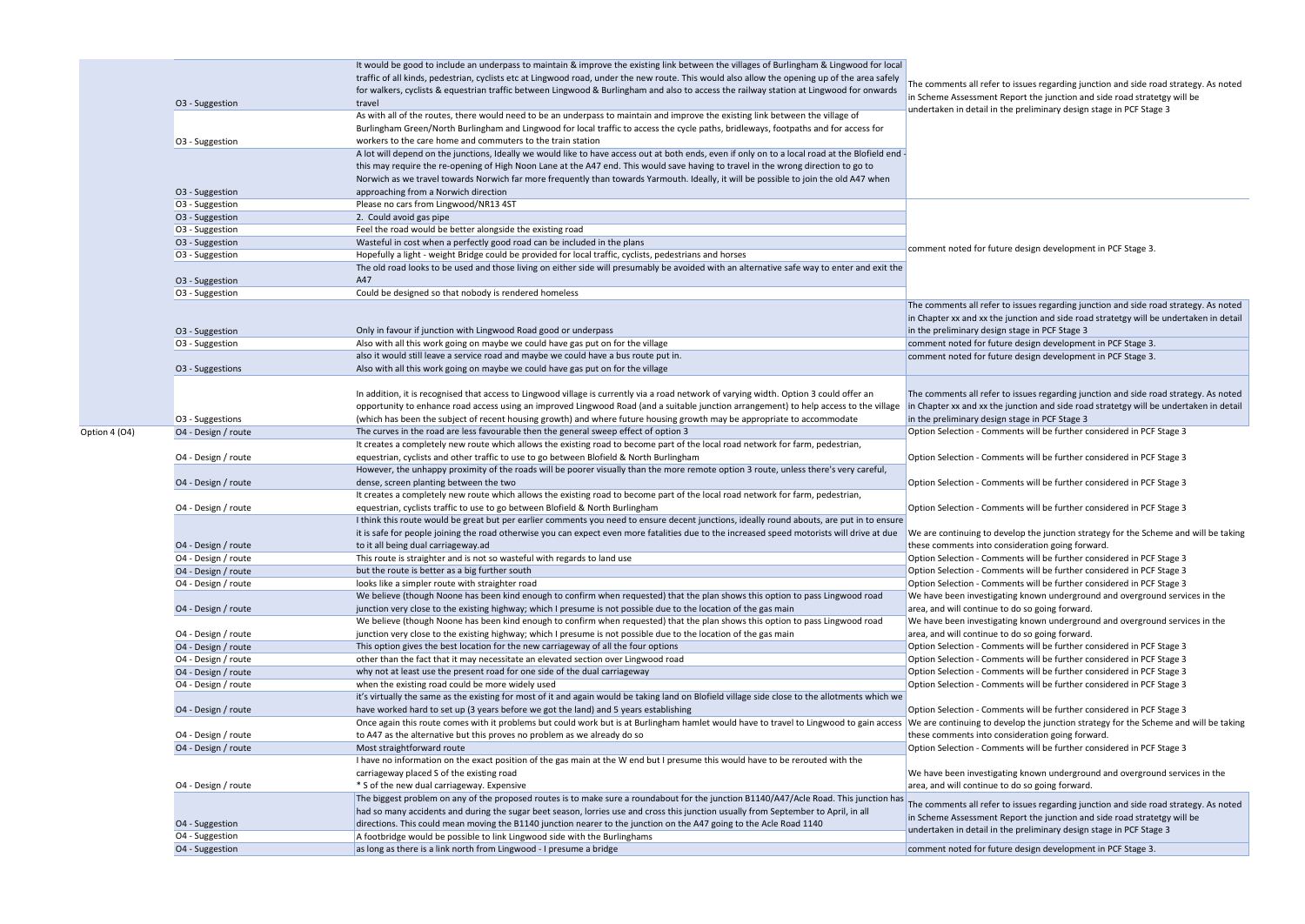|               |                              | It would be good to include an underpass to maintain & improve the existing link between the villages of Burlingham & Lingwood for local<br>traffic of all kinds, pedestrian, cyclists etc at Lingwood road, under the new route. This would also allow the opening up of the area safely<br>for walkers, cyclists & equestrian traffic between Lingwood & Burlingham and also to access the railway station at Lingwood for onwards                                    | The comments all refer to issues regarding junction and side road stra<br>in Scheme Assessment Report the junction and side road stratetgy wil    |
|---------------|------------------------------|-------------------------------------------------------------------------------------------------------------------------------------------------------------------------------------------------------------------------------------------------------------------------------------------------------------------------------------------------------------------------------------------------------------------------------------------------------------------------|---------------------------------------------------------------------------------------------------------------------------------------------------|
|               | O3 - Suggestion              | travel<br>As with all of the routes, there would need to be an underpass to maintain and improve the existing link between the village of                                                                                                                                                                                                                                                                                                                               | undertaken in detail in the preliminary design stage in PCF Stage 3                                                                               |
|               | O <sub>3</sub> - Suggestion  | Burlingham Green/North Burlingham and Lingwood for local traffic to access the cycle paths, bridleways, footpaths and for access for<br>workers to the care home and commuters to the train station                                                                                                                                                                                                                                                                     |                                                                                                                                                   |
|               | O3 - Suggestion              | A lot will depend on the junctions, Ideally we would like to have access out at both ends, even if only on to a local road at the Blofield end -<br>this may require the re-opening of High Noon Lane at the A47 end. This would save having to travel in the wrong direction to go to<br>Norwich as we travel towards Norwich far more frequently than towards Yarmouth. Ideally, it will be possible to join the old A47 when<br>approaching from a Norwich direction |                                                                                                                                                   |
|               | O3 - Suggestion              | Please no cars from Lingwood/NR13 4ST                                                                                                                                                                                                                                                                                                                                                                                                                                   |                                                                                                                                                   |
|               | O3 - Suggestion              | 2. Could avoid gas pipe                                                                                                                                                                                                                                                                                                                                                                                                                                                 |                                                                                                                                                   |
|               | O3 - Suggestion              | Feel the road would be better alongside the existing road                                                                                                                                                                                                                                                                                                                                                                                                               |                                                                                                                                                   |
|               | O3 - Suggestion              | Wasteful in cost when a perfectly good road can be included in the plans                                                                                                                                                                                                                                                                                                                                                                                                |                                                                                                                                                   |
|               | O3 - Suggestion              | Hopefully a light - weight Bridge could be provided for local traffic, cyclists, pedestrians and horses<br>The old road looks to be used and those living on either side will presumably be avoided with an alternative safe way to enter and exit the                                                                                                                                                                                                                  | comment noted for future design development in PCF Stage 3.                                                                                       |
|               | O3 - Suggestion              | A47                                                                                                                                                                                                                                                                                                                                                                                                                                                                     |                                                                                                                                                   |
|               | O <sub>3</sub> - Suggestion  | Could be designed so that nobody is rendered homeless                                                                                                                                                                                                                                                                                                                                                                                                                   |                                                                                                                                                   |
|               |                              |                                                                                                                                                                                                                                                                                                                                                                                                                                                                         | The comments all refer to issues regarding junction and side road stra<br>in Chapter xx and xx the junction and side road stratetgy will be under |
|               | O3 - Suggestion              | Only in favour if junction with Lingwood Road good or underpass                                                                                                                                                                                                                                                                                                                                                                                                         | in the preliminary design stage in PCF Stage 3                                                                                                    |
|               | O3 - Suggestion              | Also with all this work going on maybe we could have gas put on for the village                                                                                                                                                                                                                                                                                                                                                                                         | comment noted for future design development in PCF Stage 3.                                                                                       |
|               |                              | also it would still leave a service road and maybe we could have a bus route put in.                                                                                                                                                                                                                                                                                                                                                                                    | comment noted for future design development in PCF Stage 3.                                                                                       |
|               | O3 - Suggestions             | Also with all this work going on maybe we could have gas put on for the village                                                                                                                                                                                                                                                                                                                                                                                         |                                                                                                                                                   |
|               |                              | In addition, it is recognised that access to Lingwood village is currently via a road network of varying width. Option 3 could offer an<br>opportunity to enhance road access using an improved Lingwood Road (and a suitable junction arrangement) to help access to the village                                                                                                                                                                                       | The comments all refer to issues regarding junction and side road stra<br>in Chapter xx and xx the junction and side road stratetgy will be under |
|               | O <sub>3</sub> - Suggestions | (which has been the subject of recent housing growth) and where future housing growth may be appropriate to accommodate                                                                                                                                                                                                                                                                                                                                                 | in the preliminary design stage in PCF Stage 3                                                                                                    |
| Option 4 (O4) | O4 - Design / route          | The curves in the road are less favourable then the general sweep effect of option 3                                                                                                                                                                                                                                                                                                                                                                                    | Option Selection - Comments will be further considered in PCF Stage 3                                                                             |
|               |                              | It creates a completely new route which allows the existing road to become part of the local road network for farm, pedestrian,                                                                                                                                                                                                                                                                                                                                         |                                                                                                                                                   |
|               | O4 - Design / route          | equestrian, cyclists and other traffic to use to go between Blofield & North Burlingham<br>However, the unhappy proximity of the roads will be poorer visually than the more remote option 3 route, unless there's very careful,                                                                                                                                                                                                                                        | Option Selection - Comments will be further considered in PCF Stage 3                                                                             |
|               | O4 - Design / route          | dense, screen planting between the two                                                                                                                                                                                                                                                                                                                                                                                                                                  | Option Selection - Comments will be further considered in PCF Stage 3                                                                             |
|               | O4 - Design / route          | It creates a completely new route which allows the existing road to become part of the local road network for farm, pedestrian,<br>equestrian, cyclists traffic to use to go between Blofield & North Burlingham                                                                                                                                                                                                                                                        | Option Selection - Comments will be further considered in PCF Stage 3                                                                             |
|               |                              | I think this route would be great but per earlier comments you need to ensure decent junctions, ideally round abouts, are put in to ensure<br>it is safe for people joining the road otherwise you can expect even more fatalities due to the increased speed motorists will drive at due                                                                                                                                                                               | We are continuing to develop the junction strategy for the Scheme an                                                                              |
|               | O4 - Design / route          | to it all being dual carriageway.ad                                                                                                                                                                                                                                                                                                                                                                                                                                     | these comments into consideration going forward.                                                                                                  |
|               | O4 - Design / route          | This route is straighter and is not so wasteful with regards to land use                                                                                                                                                                                                                                                                                                                                                                                                | Option Selection - Comments will be further considered in PCF Stage 3                                                                             |
|               | O4 - Design / route          | but the route is better as a big further south                                                                                                                                                                                                                                                                                                                                                                                                                          | Option Selection - Comments will be further considered in PCF Stage 3                                                                             |
|               | O4 - Design / route          | looks like a simpler route with straighter road                                                                                                                                                                                                                                                                                                                                                                                                                         | Option Selection - Comments will be further considered in PCF Stage 3                                                                             |
|               | O4 - Design / route          | We believe (though Noone has been kind enough to confirm when requested) that the plan shows this option to pass Lingwood road<br>junction very close to the existing highway; which I presume is not possible due to the location of the gas main                                                                                                                                                                                                                      | We have been investigating known underground and overground serv<br>area, and will continue to do so going forward.                               |
|               |                              | We believe (though Noone has been kind enough to confirm when requested) that the plan shows this option to pass Lingwood road                                                                                                                                                                                                                                                                                                                                          | We have been investigating known underground and overground serv                                                                                  |
|               | O4 - Design / route          | junction very close to the existing highway; which I presume is not possible due to the location of the gas main                                                                                                                                                                                                                                                                                                                                                        | area, and will continue to do so going forward.                                                                                                   |
|               | O4 - Design / route          | This option gives the best location for the new carriageway of all the four options                                                                                                                                                                                                                                                                                                                                                                                     | Option Selection - Comments will be further considered in PCF Stage 3                                                                             |
|               | O4 - Design / route          | other than the fact that it may necessitate an elevated section over Lingwood road                                                                                                                                                                                                                                                                                                                                                                                      | Option Selection - Comments will be further considered in PCF Stage 3                                                                             |
|               | O4 - Design / route          | why not at least use the present road for one side of the dual carriageway                                                                                                                                                                                                                                                                                                                                                                                              | Option Selection - Comments will be further considered in PCF Stage 3                                                                             |
|               | O4 - Design / route          | when the existing road could be more widely used                                                                                                                                                                                                                                                                                                                                                                                                                        | Option Selection - Comments will be further considered in PCF Stage 3                                                                             |
|               | O4 - Design / route          | it's virtually the same as the existing for most of it and again would be taking land on Blofield village side close to the allotments which we<br>have worked hard to set up (3 years before we got the land) and 5 years establishing                                                                                                                                                                                                                                 | Option Selection - Comments will be further considered in PCF Stage 3                                                                             |
|               |                              | Once again this route comes with it problems but could work but is at Burlingham hamlet would have to travel to Lingwood to gain access                                                                                                                                                                                                                                                                                                                                 | We are continuing to develop the junction strategy for the Scheme an                                                                              |
|               | O4 - Design / route          | to A47 as the alternative but this proves no problem as we already do so                                                                                                                                                                                                                                                                                                                                                                                                | these comments into consideration going forward.                                                                                                  |
|               | O4 - Design / route          | Most straightforward route<br>I have no information on the exact position of the gas main at the W end but I presume this would have to be rerouted with the                                                                                                                                                                                                                                                                                                            | Option Selection - Comments will be further considered in PCF Stage 3                                                                             |
|               |                              | carriageway placed S of the existing road                                                                                                                                                                                                                                                                                                                                                                                                                               | We have been investigating known underground and overground serv                                                                                  |
|               | O4 - Design / route          | * S of the new dual carriageway. Expensive                                                                                                                                                                                                                                                                                                                                                                                                                              | area, and will continue to do so going forward.                                                                                                   |
|               |                              | The biggest problem on any of the proposed routes is to make sure a roundabout for the junction B1140/A47/Acle Road. This junction has                                                                                                                                                                                                                                                                                                                                  |                                                                                                                                                   |
|               |                              | had so many accidents and during the sugar beet season, lorries use and cross this junction usually from September to April, in all                                                                                                                                                                                                                                                                                                                                     | The comments all refer to issues regarding junction and side road stra                                                                            |
|               | O4 - Suggestion              | directions. This could mean moving the B1140 junction nearer to the junction on the A47 going to the Acle Road 1140                                                                                                                                                                                                                                                                                                                                                     | in Scheme Assessment Report the junction and side road stratetgy wil                                                                              |
|               | O4 - Suggestion              | A footbridge would be possible to link Lingwood side with the Burlinghams                                                                                                                                                                                                                                                                                                                                                                                               | undertaken in detail in the preliminary design stage in PCF Stage 3                                                                               |
|               | O4 - Suggestion              | as long as there is a link north from Lingwood - I presume a bridge                                                                                                                                                                                                                                                                                                                                                                                                     | comment noted for future design development in PCF Stage 3.                                                                                       |
|               |                              |                                                                                                                                                                                                                                                                                                                                                                                                                                                                         |                                                                                                                                                   |

| ham & Lingwood for local<br>ning up of the area safely<br>at Lingwood for onwards<br>n the village of<br>ths and for access for<br>al road at the Blofield end $\cdot$<br>g direction to go to<br>join the old A47 when | The comments all refer to issues regarding junction and side road strategy. As noted<br>in Scheme Assessment Report the junction and side road stratetgy will be<br>undertaken in detail in the preliminary design stage in PCF Stage 3                                                         |
|-------------------------------------------------------------------------------------------------------------------------------------------------------------------------------------------------------------------------|-------------------------------------------------------------------------------------------------------------------------------------------------------------------------------------------------------------------------------------------------------------------------------------------------|
| way to enter and exit the                                                                                                                                                                                               | comment noted for future design development in PCF Stage 3.                                                                                                                                                                                                                                     |
|                                                                                                                                                                                                                         | The comments all refer to issues regarding junction and side road strategy. As noted<br>in Chapter xx and xx the junction and side road stratetgy will be undertaken in detail<br>in the preliminary design stage in PCF Stage 3<br>comment noted for future design development in PCF Stage 3. |
|                                                                                                                                                                                                                         | comment noted for future design development in PCF Stage 3.                                                                                                                                                                                                                                     |
| on 3 could offer an<br>help access to the village<br>accommodate                                                                                                                                                        | The comments all refer to issues regarding junction and side road strategy. As noted<br>in Chapter xx and xx the junction and side road stratetgy will be undertaken in detail<br>in the preliminary design stage in PCF Stage 3                                                                |
| rm, pedestrian,                                                                                                                                                                                                         | Option Selection - Comments will be further considered in PCF Stage 3<br>Option Selection - Comments will be further considered in PCF Stage 3                                                                                                                                                  |
| ss there's very careful,                                                                                                                                                                                                | Option Selection - Comments will be further considered in PCF Stage 3                                                                                                                                                                                                                           |
| rm, pedestrian,                                                                                                                                                                                                         | Option Selection - Comments will be further considered in PCF Stage 3                                                                                                                                                                                                                           |
| bouts, are put in to ensure<br>notorists will drive at due                                                                                                                                                              | We are continuing to develop the junction strategy for the Scheme and will be taking<br>these comments into consideration going forward.                                                                                                                                                        |
|                                                                                                                                                                                                                         | Option Selection - Comments will be further considered in PCF Stage 3<br>Option Selection - Comments will be further considered in PCF Stage 3                                                                                                                                                  |
|                                                                                                                                                                                                                         | Option Selection - Comments will be further considered in PCF Stage 3                                                                                                                                                                                                                           |
| p pass Lingwood road                                                                                                                                                                                                    | We have been investigating known underground and overground services in the<br>area, and will continue to do so going forward.                                                                                                                                                                  |
| p pass Lingwood road                                                                                                                                                                                                    | We have been investigating known underground and overground services in the<br>area, and will continue to do so going forward.                                                                                                                                                                  |
|                                                                                                                                                                                                                         | Option Selection - Comments will be further considered in PCF Stage 3                                                                                                                                                                                                                           |
|                                                                                                                                                                                                                         | Option Selection - Comments will be further considered in PCF Stage 3                                                                                                                                                                                                                           |
|                                                                                                                                                                                                                         | Option Selection - Comments will be further considered in PCF Stage 3                                                                                                                                                                                                                           |
| o the allotments which we                                                                                                                                                                                               | Option Selection - Comments will be further considered in PCF Stage 3                                                                                                                                                                                                                           |
|                                                                                                                                                                                                                         | Option Selection - Comments will be further considered in PCF Stage 3                                                                                                                                                                                                                           |
| o Lingwood to gain access                                                                                                                                                                                               | We are continuing to develop the junction strategy for the Scheme and will be taking                                                                                                                                                                                                            |
|                                                                                                                                                                                                                         | these comments into consideration going forward.                                                                                                                                                                                                                                                |
|                                                                                                                                                                                                                         | Option Selection - Comments will be further considered in PCF Stage 3                                                                                                                                                                                                                           |
| routed with the                                                                                                                                                                                                         | We have been investigating known underground and overground services in the                                                                                                                                                                                                                     |
|                                                                                                                                                                                                                         | area, and will continue to do so going forward.                                                                                                                                                                                                                                                 |
| cle Road. This junction has                                                                                                                                                                                             | The comments all refer to issues regarding junction and side road strategy. As noted                                                                                                                                                                                                            |
| ber to April, in all<br>1140                                                                                                                                                                                            | in Scheme Assessment Report the junction and side road stratetgy will be<br>undertaken in detail in the preliminary design stage in PCF Stage 3                                                                                                                                                 |
|                                                                                                                                                                                                                         | comment noted for future design development in PCF Stage 3.                                                                                                                                                                                                                                     |
|                                                                                                                                                                                                                         |                                                                                                                                                                                                                                                                                                 |